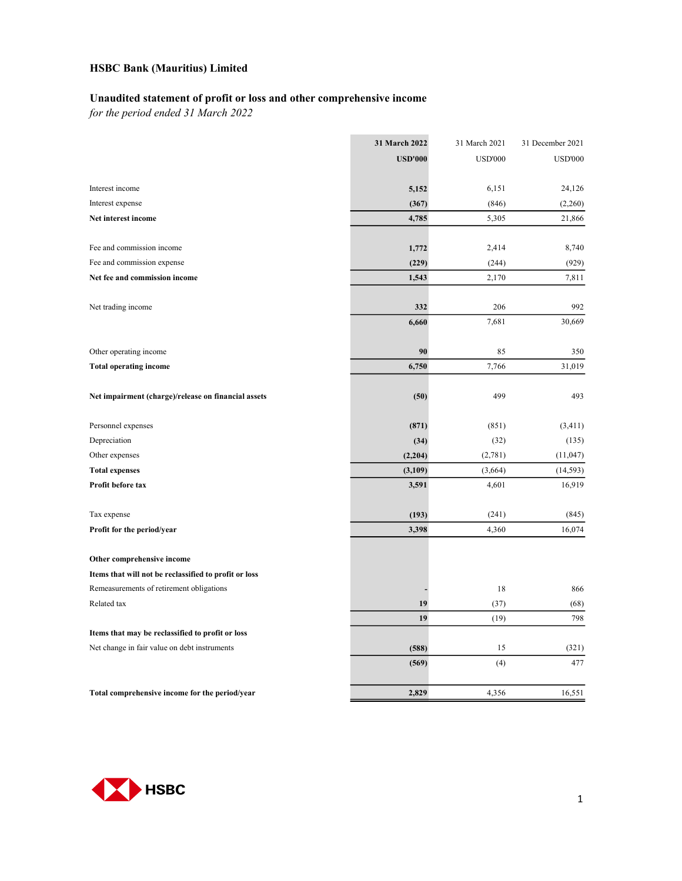#### Unaudited statement of profit or loss and other comprehensive income

for the period ended 31 March 2022

|                                                       | 31 March 2022  | 31 March 2021  | 31 December 2021 |
|-------------------------------------------------------|----------------|----------------|------------------|
|                                                       | <b>USD'000</b> | <b>USD'000</b> | <b>USD'000</b>   |
|                                                       |                |                |                  |
| Interest income                                       | 5,152          | 6,151          | 24,126           |
| Interest expense                                      | (367)          | (846)          | (2,260)          |
| Net interest income                                   | 4,785          | 5,305          | 21,866           |
| Fee and commission income                             | 1,772          | 2,414          | 8,740            |
| Fee and commission expense                            | (229)          | (244)          | (929)            |
| Net fee and commission income                         | 1,543          | 2,170          | 7,811            |
| Net trading income                                    | 332            | 206            | 992              |
|                                                       | 6,660          | 7,681          | 30,669           |
| Other operating income                                | 90             | 85             | 350              |
| <b>Total operating income</b>                         | 6,750          | 7,766          | 31,019           |
| Net impairment (charge)/release on financial assets   | (50)           | 499            | 493              |
| Personnel expenses                                    | (871)          | (851)          | (3, 411)         |
| Depreciation                                          | (34)           | (32)           | (135)            |
| Other expenses                                        | (2,204)        | (2,781)        | (11, 047)        |
| <b>Total expenses</b>                                 | (3,109)        | (3,664)        | (14, 593)        |
| Profit before tax                                     | 3,591          | 4,601          | 16,919           |
| Tax expense                                           | (193)          | (241)          | (845)            |
| Profit for the period/year                            | 3,398          | 4,360          | 16,074           |
| Other comprehensive income                            |                |                |                  |
| Items that will not be reclassified to profit or loss |                |                |                  |
| Remeasurements of retirement obligations              |                | 18             | 866              |
| Related tax                                           | 19             | (37)           | (68)             |
|                                                       | 19             | (19)           | 798              |
| Items that may be reclassified to profit or loss      |                |                |                  |
| Net change in fair value on debt instruments          | (588)          | 15             | (321)            |
|                                                       | (569)          | (4)            | 477              |
| Total comprehensive income for the period/year        | 2,829          | 4,356          | 16,551           |

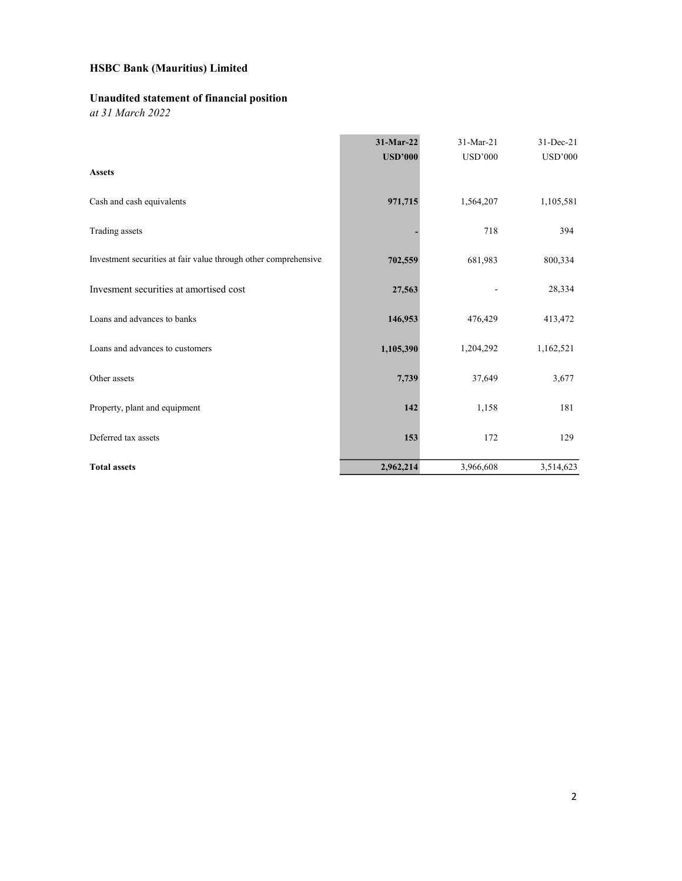### Unaudited statement of financial position

at 31 March 2022

|                                                                 | 31-Mar-22      | 31-Mar-21      | 31-Dec-21      |
|-----------------------------------------------------------------|----------------|----------------|----------------|
|                                                                 | <b>USD'000</b> | <b>USD'000</b> | <b>USD'000</b> |
| <b>Assets</b>                                                   |                |                |                |
| Cash and cash equivalents                                       | 971,715        | 1,564,207      | 1,105,581      |
| Trading assets                                                  |                | 718            | 394            |
| Investment securities at fair value through other comprehensive | 702,559        | 681,983        | 800,334        |
| Invesment securities at amortised cost                          | 27,563         |                | 28,334         |
| Loans and advances to banks                                     | 146,953        | 476,429        | 413,472        |
| Loans and advances to customers                                 | 1,105,390      | 1,204,292      | 1,162,521      |
| Other assets                                                    | 7,739          | 37,649         | 3,677          |
| Property, plant and equipment                                   | 142            | 1,158          | 181            |
| Deferred tax assets                                             | 153            | 172            | 129            |
| <b>Total assets</b>                                             | 2,962,214      | 3,966,608      | 3,514,623      |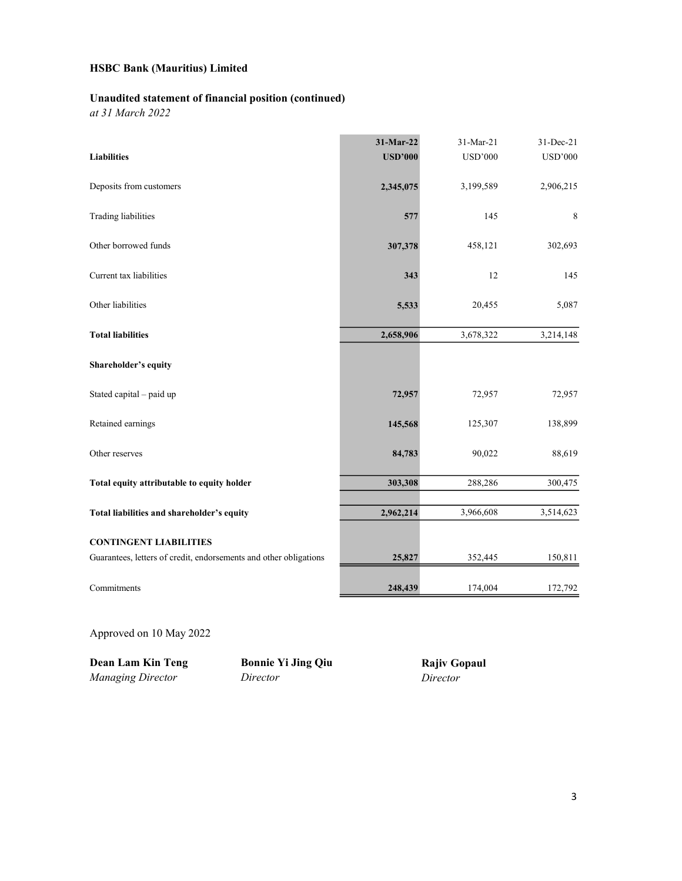#### Unaudited statement of financial position (continued)

at 31 March 2022

|                                                                   | 31-Mar-22      | 31-Mar-21      | 31-Dec-21      |
|-------------------------------------------------------------------|----------------|----------------|----------------|
| <b>Liabilities</b>                                                | <b>USD'000</b> | <b>USD'000</b> | <b>USD'000</b> |
| Deposits from customers                                           | 2,345,075      | 3,199,589      | 2,906,215      |
| <b>Trading liabilities</b>                                        | 577            | 145            | 8              |
| Other borrowed funds                                              | 307,378        | 458,121        | 302,693        |
| Current tax liabilities                                           | 343            | 12             | 145            |
| Other liabilities                                                 | 5,533          | 20,455         | 5,087          |
| <b>Total liabilities</b>                                          | 2,658,906      | 3,678,322      | 3,214,148      |
| Shareholder's equity                                              |                |                |                |
| Stated capital - paid up                                          | 72,957         | 72,957         | 72,957         |
| Retained earnings                                                 | 145,568        | 125,307        | 138,899        |
| Other reserves                                                    | 84,783         | 90,022         | 88,619         |
| Total equity attributable to equity holder                        | 303,308        | 288,286        | 300,475        |
| Total liabilities and shareholder's equity                        | 2,962,214      | 3,966,608      | 3,514,623      |
| <b>CONTINGENT LIABILITIES</b>                                     |                |                |                |
| Guarantees, letters of credit, endorsements and other obligations | 25,827         | 352,445        | 150,811        |
| Commitments                                                       | 248,439        | 174,004        | 172,792        |

Approved on 10 May 2022

Dean Lam Kin Teng

**Dean Lam Kin Teng Bonnie Yi Jing Qiu**<br>*Managing Director Director* 

Rajiv Gopaul Director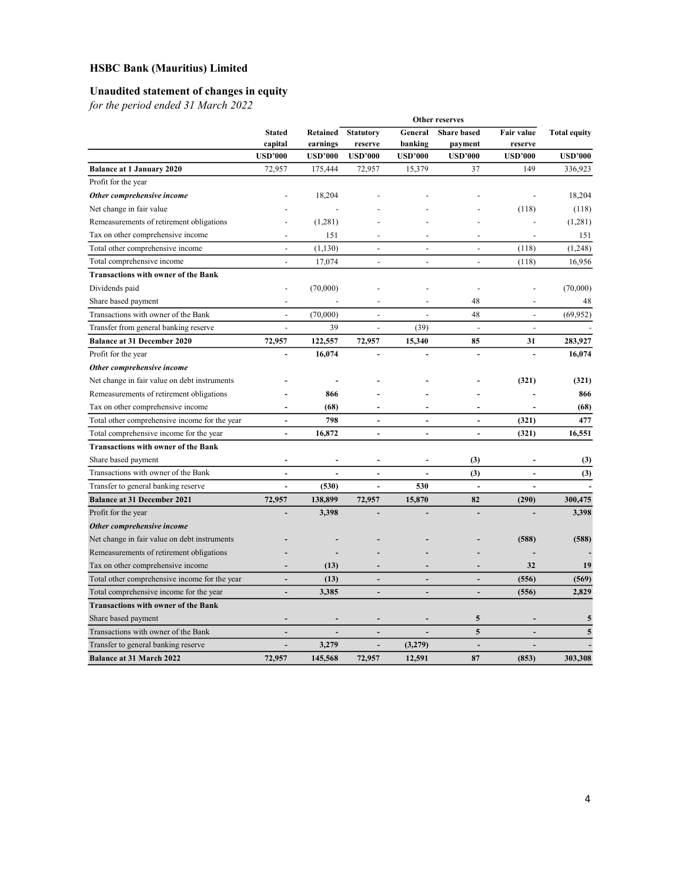### Unaudited statement of changes in equity

for the period ended 31 March 2022

|                                               | Other reserves           |                |                |                          |                  |                |                    |            |                     |
|-----------------------------------------------|--------------------------|----------------|----------------|--------------------------|------------------|----------------|--------------------|------------|---------------------|
|                                               | <b>Stated</b>            |                |                | Retained                 | <b>Statutory</b> | General        | <b>Share</b> based | Fair value | <b>Total equity</b> |
|                                               | capital                  | earnings       | reserve        | banking                  | payment          | reserve        |                    |            |                     |
|                                               | <b>USD'000</b>           | <b>USD'000</b> | <b>USD'000</b> | <b>USD'000</b>           | <b>USD'000</b>   | <b>USD'000</b> | <b>USD'000</b>     |            |                     |
| <b>Balance at 1 January 2020</b>              | 72,957                   | 175,444        | 72,957         | 15,379                   | 37               | 149            | 336,923            |            |                     |
| Profit for the year                           |                          |                |                |                          |                  |                |                    |            |                     |
| Other comprehensive income                    |                          | 18,204         |                |                          |                  |                | 18.204             |            |                     |
| Net change in fair value                      |                          |                |                |                          |                  | (118)          | (118)              |            |                     |
| Remeasurements of retirement obligations      |                          | (1,281)        |                |                          |                  |                | (1,281)            |            |                     |
| Tax on other comprehensive income             |                          | 151            |                |                          |                  |                | 151                |            |                     |
| Total other comprehensive income              | $\overline{a}$           | (1, 130)       | $\overline{a}$ | $\overline{a}$           | $\overline{a}$   | (118)          | (1,248)            |            |                     |
| Total comprehensive income                    |                          | 17,074         | $\overline{a}$ | $\blacksquare$           | $\overline{a}$   | (118)          | 16,956             |            |                     |
| <b>Transactions with owner of the Bank</b>    |                          |                |                |                          |                  |                |                    |            |                     |
| Dividends paid                                |                          | (70,000)       |                |                          |                  |                | (70,000)           |            |                     |
| Share based payment                           |                          |                |                |                          | 48               |                | 48                 |            |                     |
| Transactions with owner of the Bank           |                          | (70,000)       |                |                          | 48               |                | (69, 952)          |            |                     |
| Transfer from general banking reserve         |                          | 39             |                | (39)                     | $\overline{a}$   |                |                    |            |                     |
| <b>Balance at 31 December 2020</b>            | 72,957                   | 122,557        | 72,957         | 15,340                   | 85               | 31             | 283,927            |            |                     |
| Profit for the year                           |                          | 16,074         |                |                          | ÷,               |                | 16,074             |            |                     |
| Other comprehensive income                    |                          |                |                |                          |                  |                |                    |            |                     |
| Net change in fair value on debt instruments  |                          |                |                |                          |                  | (321)          | (321)              |            |                     |
| Remeasurements of retirement obligations      |                          | 866            |                |                          |                  |                | 866                |            |                     |
| Tax on other comprehensive income             |                          | (68)           |                |                          |                  |                | (68)               |            |                     |
| Total other comprehensive income for the year | $\overline{a}$           | 798            | $\overline{a}$ | $\overline{a}$           | $\overline{a}$   | (321)          | 477                |            |                     |
| Total comprehensive income for the year       | $\overline{a}$           | 16,872         | $\overline{a}$ | $\overline{\phantom{a}}$ | $\overline{a}$   | (321)          | 16,551             |            |                     |
| <b>Transactions with owner of the Bank</b>    |                          |                |                |                          |                  |                |                    |            |                     |
| Share based payment                           |                          |                |                |                          | (3)              |                | (3)                |            |                     |
| Transactions with owner of the Bank           | $\overline{\phantom{a}}$ |                | $\overline{a}$ |                          | (3)              |                | (3)                |            |                     |
| Transfer to general banking reserve           |                          | (530)          | $\overline{a}$ | 530                      | $\overline{a}$   |                |                    |            |                     |
| <b>Balance at 31 December 2021</b>            | 72,957                   | 138,899        | 72,957         | 15,870                   | 82               | (290)          | 300,475            |            |                     |
| Profit for the year                           |                          | 3,398          |                |                          |                  |                | 3,398              |            |                     |
| Other comprehensive income                    |                          |                |                |                          |                  |                |                    |            |                     |
| Net change in fair value on debt instruments  |                          |                |                |                          |                  | (588)          | (588)              |            |                     |
| Remeasurements of retirement obligations      |                          |                |                |                          |                  |                |                    |            |                     |
| Tax on other comprehensive income             | ÷                        | (13)           |                |                          |                  | 32             | 19                 |            |                     |
| Total other comprehensive income for the year | $\overline{\phantom{a}}$ | (13)           | $\overline{a}$ | ÷,                       | ÷,               | (556)          | (569)              |            |                     |
| Total comprehensive income for the year       |                          | 3,385          |                |                          |                  | (556)          | 2,829              |            |                     |
| <b>Transactions with owner of the Bank</b>    |                          |                |                |                          |                  |                |                    |            |                     |
| Share based payment                           |                          |                |                |                          | 5                |                | 5                  |            |                     |
| Transactions with owner of the Bank           |                          |                |                |                          | 5                |                | 5                  |            |                     |
| Transfer to general banking reserve           | ÷,                       | 3,279          |                | (3,279)                  | ÷,               |                |                    |            |                     |
| <b>Balance at 31 March 2022</b>               | 72.957                   | 145,568        | 72,957         | 12,591                   | 87               | (853)          | 303.308            |            |                     |